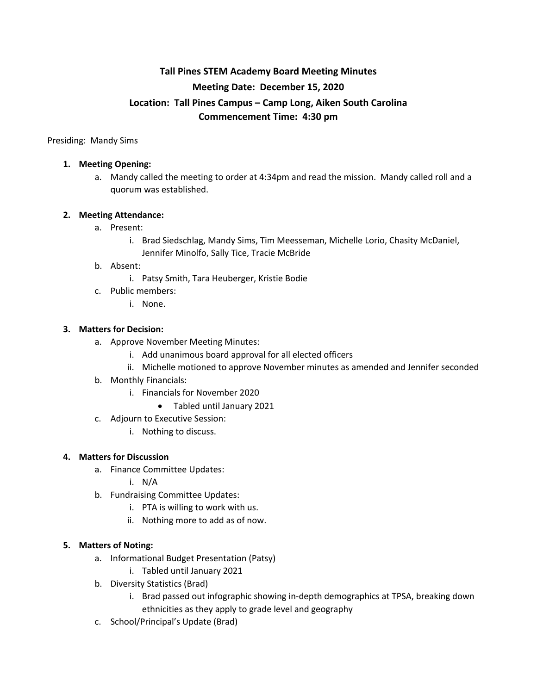# **Tall Pines STEM Academy Board Meeting Minutes Meeting Date: December 15, 2020 Location: Tall Pines Campus – Camp Long, Aiken South Carolina Commencement Time: 4:30 pm**

Presiding: Mandy Sims

## **1. Meeting Opening:**

a. Mandy called the meeting to order at 4:34pm and read the mission. Mandy called roll and a quorum was established.

# **2. Meeting Attendance:**

- a. Present:
	- i. Brad Siedschlag, Mandy Sims, Tim Meesseman, Michelle Lorio, Chasity McDaniel, Jennifer Minolfo, Sally Tice, Tracie McBride

### b. Absent:

- i. Patsy Smith, Tara Heuberger, Kristie Bodie
- c. Public members:
	- i. None.

### **3. Matters for Decision:**

- a. Approve November Meeting Minutes:
	- i. Add unanimous board approval for all elected officers
	- ii. Michelle motioned to approve November minutes as amended and Jennifer seconded
- b. Monthly Financials:
	- i. Financials for November 2020
		- Tabled until January 2021
- c. Adjourn to Executive Session:
	- i. Nothing to discuss.

#### **4. Matters for Discussion**

- a. Finance Committee Updates:
	- i. N/A
- b. Fundraising Committee Updates:
	- i. PTA is willing to work with us.
	- ii. Nothing more to add as of now.

#### **5. Matters of Noting:**

- a. Informational Budget Presentation (Patsy)
	- i. Tabled until January 2021
- b. Diversity Statistics (Brad)
	- i. Brad passed out infographic showing in-depth demographics at TPSA, breaking down ethnicities as they apply to grade level and geography
- c. School/Principal's Update (Brad)